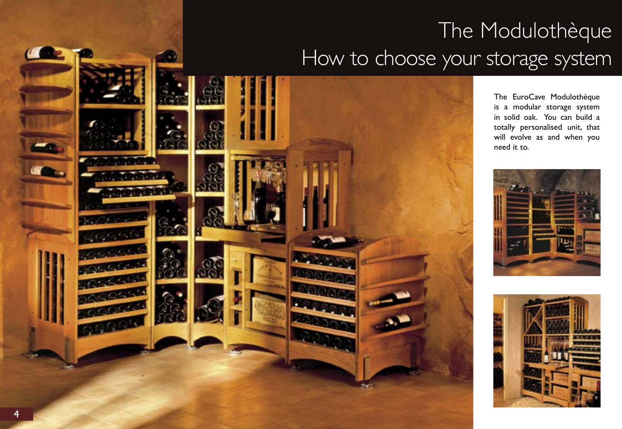# The Modulothèque How to choose your storage system



The EuroCave Modulothèque is a modular storage system in solid oak. You can build a totally personalised unit, that will evolve as and when you need it to.



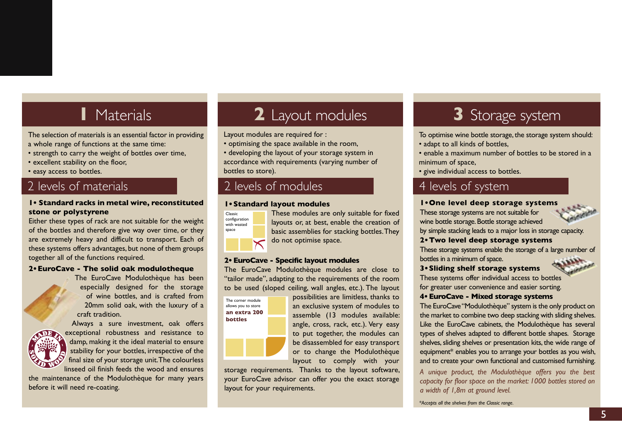## **1** Materials

The selection of materials is an essential factor in providing a whole range of functions at the same time:

- strength to carry the weight of bottles over time,
- excellent stability on the floor,
- easy access to bottles.

### 2 levels of materials

#### **1• Standard racks in metal wire, reconstituted stone or polystyrene**

Either these types of rack are not suitable for the weight of the bottles and therefore give way over time, or they are extremely heavy and difficult to transport. Each of these systems offers advantages, but none of them groups together all of the functions required.

#### **2• EuroCave - The solid oak modulotheque**

The EuroCave Modulothèque has been especially designed for the storage of wine bottles, and is crafted from 20mm solid oak, with the luxury of a craft tradition.



Always a sure investment, oak offers exceptional robustness and resistance to damp, making it the ideal material to ensure stability for your bottles, irrespective of the final size of your storage unit. The colourless linseed oil finish feeds the wood and ensures

the maintenance of the Modulothèque for many years before it will need re-coating.

## **2** Layout modules

Layout modules are required for :

- optimising the space available in the room,
- developing the layout of your storage system in accordance with requirements (varying number of bottles to store).

### 2 levels of modules

#### **1• Standard layout modules**



These modules are only suitable for fixed layouts or, at best, enable the creation of basic assemblies for stacking bottles. They do not optimise space.

#### **2• EuroCave - Specific layout modules**

The EuroCave Modulothèque modules are close to "tailor made", adapting to the requirements of the room to be used (sloped ceiling, wall angles, etc.). The layout

The corner module allows you to store **an extra 200 bottles**

possibilities are limitless, thanks to an exclusive system of modules to assemble (13 modules available: angle, cross, rack, etc.). Very easy to put together, the modules can be disassembled for easy transport or to change the Modulothèque layout to comply with your

storage requirements. Thanks to the layout software, your EuroCave advisor can offer you the exact storage layout for your requirements.

## **3** Storage system

- To optimise wine bottle storage, the storage system should:
- adapt to all kinds of bottles,
- enable a maximum number of bottles to be stored in a minimum of space,
- give individual access to bottles.

### 4 levels of system

#### **1• One level deep storage systems**

These storage systems are not suitable for wine bottle storage. Bottle storage achieved



#### **2• Two level deep storage systems**

These storage systems enable the storage of a large number of bottles in a minimum of space.

#### **3• Sliding shelf storage systems**

These systems offer individual access to bottles for greater user convenience and easier sorting.

#### **4• EuroCave - Mixed storage systems**

The EuroCave "Modulothèque" system is the only product on the market to combine two deep stacking with sliding shelves. Like the EuroCave cabinets, the Modulothèque has several types of shelves adapted to different bottle shapes. Storage shelves, sliding shelves or presentation kits, the wide range of equipment\* enables you to arrange your bottles as you wish, and to create your own functional and customised furnishing.

*A unique product, the Modulothèque offers you the best capacity for floor space on the market: 1000 bottles stored on a width of 1,8m at ground level.* 

*\*Accepts all the shelves from the Classic range.*

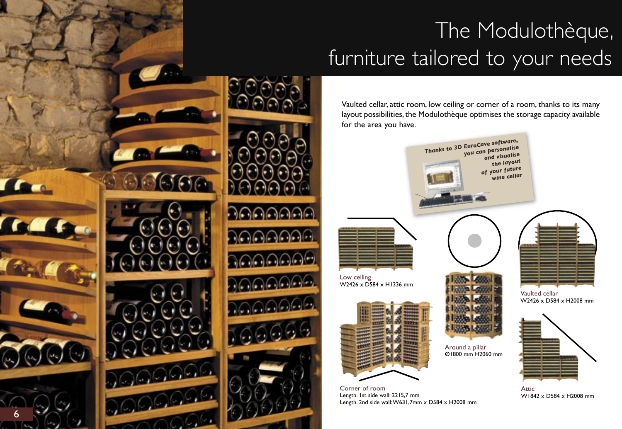# The Modulothèque, furniture tailored to your needs

Vaulted cellar, attic room, low ceiling or corner of a room, thanks to its many layout possibilities, the Modulothèque optimises the storage capacity available for the area you have.



Corner of room Length. 1st side wall: 2215,7 mm Length. 2nd side wall: W631,7mm x D584 x H2008 mm

W2426 x D584 x H2008 mm



Attic W1842 x D584 x H2008 mm